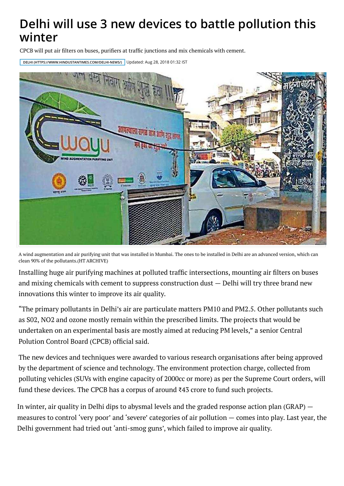## **[Delhi will use 3 new devices to battle poll](https://www.hindustantimes.com/)ution this winter**

CPCB will put air filters on buses, purifiers at traffic junctions and mix chemicals with cement.

**DELHI (HTTPS://WWW.HINDUSTANTIMES.COM/DELHI-NEWS/)** [Updated: Aug 28, 2018 01:32 IST](http://paper.hindustantimes.com/epaper/viewer.aspx)



A wind augmentation and air purifying unit that was installed in Mumbai. The ones to be installed in Delhi are an advanced version, which can clean 90% of the pollutants.(HT ARCHIVE)

Installing huge air purifying machines at polluted traffic intersections, mounting air filters on buses and mixing chemicals with cement to suppress construction dust — Delhi will try three brand new innovations this winter to improve its air quality.

"The primary pollutants in Delhi's air are particulate matters PM10 and PM2.5. Other pollutants such as S02, NO2 and ozone mostly remain within the prescribed limits. The projects that would be undertaken on an experimental basis are mostly aimed at reducing PM levels," a senior Central Polution Control Board (CPCB) official said.

The new devices and techniques were awarded to various research organisations after being approved by the department of science and technology. The environment protection charge, collected from polluting vehicles (SUVs with engine capacity of 2000cc or more) as per the Supreme Court orders, will fund these devices. The CPCB has a corpus of around ₹43 crore to fund such projects.

In winter, air quality in Delhi dips to abysmal levels and the graded response action plan (GRAP) measures to control 'very poor' and 'severe' categories of air pollution — comes into play. Last year, the Delhi government had tried out 'anti-smog guns', which failed to improve air quality.